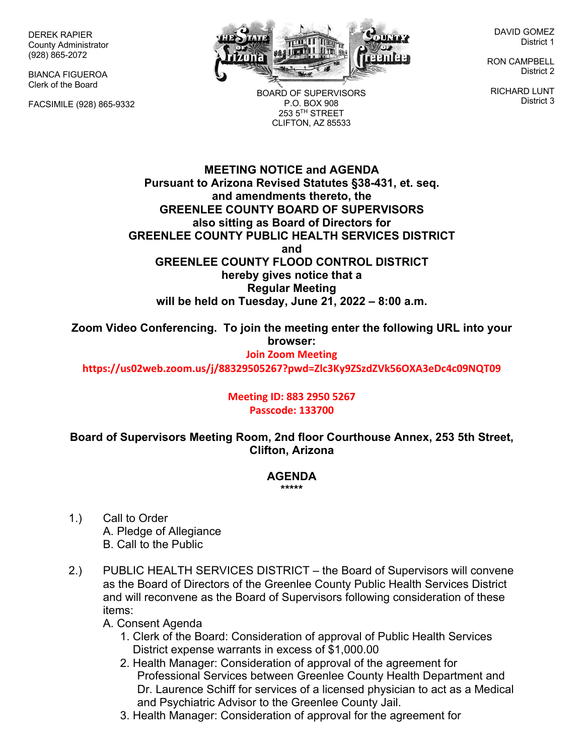DEREK RAPIER County Administrator (928) 865-2072

BIANCA FIGUEROA Clerk of the Board

FACSIMILE (928) 865-9332



BOARD OF SUPERVISORS P.O. BOX 908 253 5TH STREET CLIFTON, AZ 85533

DAVID GOMEZ District 1

RON CAMPBELL District 2

RICHARD LUNT District 3

**MEETING NOTICE and AGENDA Pursuant to Arizona Revised Statutes §38-431, et. seq. and amendments thereto, the GREENLEE COUNTY BOARD OF SUPERVISORS also sitting as Board of Directors for GREENLEE COUNTY PUBLIC HEALTH SERVICES DISTRICT and GREENLEE COUNTY FLOOD CONTROL DISTRICT hereby gives notice that a Regular Meeting will be held on Tuesday, June 21, 2022 – 8:00 a.m.**

**Zoom Video Conferencing. To join the meeting enter the following URL into your browser:**

## **Join Zoom Meeting**

**https://us02web.zoom.us/j/88329505267?pwd=Zlc3Ky9ZSzdZVk56OXA3eDc4c09NQT09**

## **Meeting ID: 883 2950 5267 Passcode: 133700**

**Board of Supervisors Meeting Room, 2nd floor Courthouse Annex, 253 5th Street, Clifton, Arizona**

## **AGENDA**

## **\*\*\*\*\***

- 1.) Call to Order A. Pledge of Allegiance B. Call to the Public
- 2.) PUBLIC HEALTH SERVICES DISTRICT the Board of Supervisors will convene as the Board of Directors of the Greenlee County Public Health Services District and will reconvene as the Board of Supervisors following consideration of these items:
	- A. Consent Agenda
		- 1. Clerk of the Board: Consideration of approval of Public Health Services District expense warrants in excess of \$1,000.00
		- 2. Health Manager: Consideration of approval of the agreement for Professional Services between Greenlee County Health Department and Dr. Laurence Schiff for services of a licensed physician to act as a Medical and Psychiatric Advisor to the Greenlee County Jail.
		- 3. Health Manager: Consideration of approval for the agreement for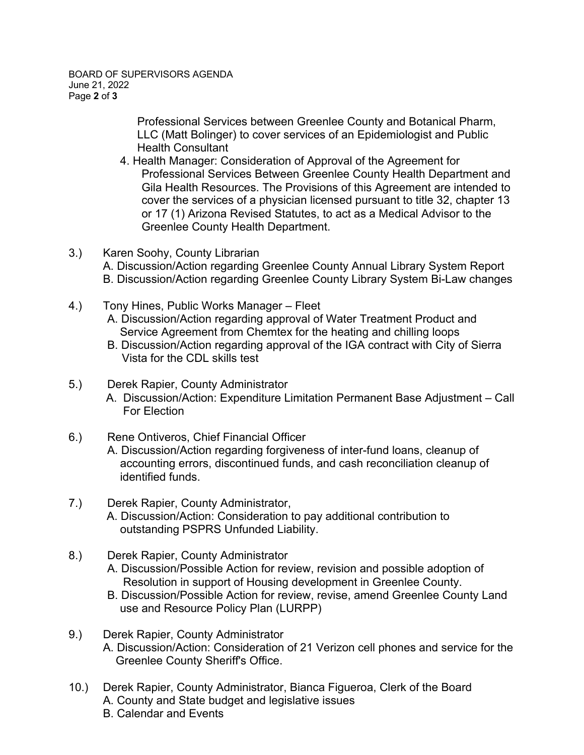Professional Services between Greenlee County and Botanical Pharm, LLC (Matt Bolinger) to cover services of an Epidemiologist and Public Health Consultant

- 4. Health Manager: Consideration of Approval of the Agreement for Professional Services Between Greenlee County Health Department and Gila Health Resources. The Provisions of this Agreement are intended to cover the services of a physician licensed pursuant to title 32, chapter 13 or 17 (1) Arizona Revised Statutes, to act as a Medical Advisor to the Greenlee County Health Department.
- 3.) Karen Soohy, County Librarian A. Discussion/Action regarding Greenlee County Annual Library System Report B. Discussion/Action regarding Greenlee County Library System Bi-Law changes
- 4.) Tony Hines, Public Works Manager Fleet
	- A. Discussion/Action regarding approval of Water Treatment Product and Service Agreement from Chemtex for the heating and chilling loops
	- B. Discussion/Action regarding approval of the IGA contract with City of Sierra Vista for the CDL skills test
- 5.) Derek Rapier, County Administrator
	- A. Discussion/Action: Expenditure Limitation Permanent Base Adjustment Call For Election
- 6.) Rene Ontiveros, Chief Financial Officer

A. Discussion/Action regarding forgiveness of inter-fund loans, cleanup of accounting errors, discontinued funds, and cash reconciliation cleanup of identified funds.

- 7.) Derek Rapier, County Administrator, A. Discussion/Action: Consideration to pay additional contribution to outstanding PSPRS Unfunded Liability.
- 8.) Derek Rapier, County Administrator
	- A. Discussion/Possible Action for review, revision and possible adoption of Resolution in support of Housing development in Greenlee County.
	- B. Discussion/Possible Action for review, revise, amend Greenlee County Land use and Resource Policy Plan (LURPP)
- 9.) Derek Rapier, County Administrator A. Discussion/Action: Consideration of 21 Verizon cell phones and service for the Greenlee County Sheriff's Office.
- 10.) Derek Rapier, County Administrator, Bianca Figueroa, Clerk of the Board A. County and State budget and legislative issues B. Calendar and Events